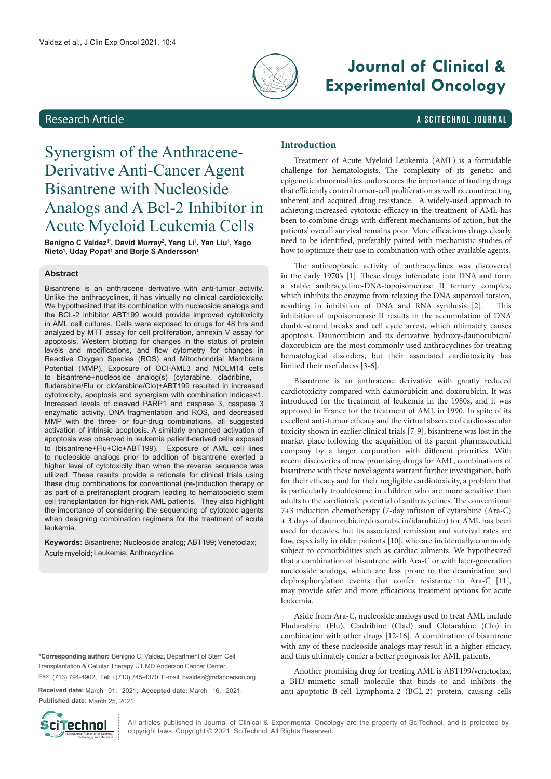

# **Journal of Clinical & Experimental Oncology**

# Research Article a Scitechnol journal and the Science and Scitechnol journal

# Synergism of the Anthracene-Derivative Anti-Cancer Agent Bisantrene with Nucleoside Analogs and A Bcl-2 Inhibitor in Acute Myeloid Leukemia Cells

**Benigno C Valdez1\*, David Murray2 , Yang Li1 , Yan Liu1 , Yago Nieto<sup>1</sup>, Uday Popat<sup>1</sup> and Borje S Andersson<sup>1</sup>** 

# **Abstract**

Bisantrene is an anthracene derivative with anti-tumor activity. Unlike the anthracyclines, it has virtually no clinical cardiotoxicity. We hypothesized that its combination with nucleoside analogs and the BCL-2 inhibitor ABT199 would provide improved cytotoxicity in AML cell cultures. Cells were exposed to drugs for 48 hrs and analyzed by MTT assay for cell proliferation, annexin V assay for apoptosis, Western blotting for changes in the status of protein levels and modifications, and flow cytometry for changes in Reactive Oxygen Species (ROS) and Mitochondrial Membrane Potential (MMP). Exposure of OCI-AML3 and MOLM14 cells to bisantrene+nucleoside analog(s) (cytarabine, cladribine, fludarabine/Flu or clofarabine/Clo)+ABT199 resulted in increased cytotoxicity, apoptosis and synergism with combination indices<1. Increased levels of cleaved PARP1 and caspase 3, caspase 3 enzymatic activity, DNA fragmentation and ROS, and decreased MMP with the three- or four-drug combinations, all suggested activation of intrinsic apoptosis. A similarly enhanced activation of apoptosis was observed in leukemia patient-derived cells exposed to (bisantrene+Flu+Clo+ABT199). Exposure of AML cell lines to nucleoside analogs prior to addition of bisantrene exerted a higher level of cytotoxicity than when the reverse sequence was utilized. These results provide a rationale for clinical trials using these drug combinations for conventional (re-)induction therapy or as part of a pretransplant program leading to hematopoietic stem cell transplantation for high-risk AML patients. They also highlight the importance of considering the sequencing of cytotoxic agents when designing combination regimens for the treatment of acute leukemia.

**Keywords:** Bisantrene; Nucleoside analog; ABT199; Venetoclax; Acute myeloid; Leukemia; Anthracycline

**\*Corresponding author:** Benigno C. Valdez, Department of Stem Cell Fax: (713) 794-4902, Tel: +(713) 745-4370; E-mail: bvaldez@mdanderson.org Transplantation & Cellular Therapy UT MD Anderson Cancer Center,

**Received date:** March 01, 2021; **Accepted date:** March 16, 2021;

**Published date:** March 25, 2021;



All articles published in Journal of Clinical & Experimental Oncology are the property of SciTechnol, and is protected by **Ciffechnol** All articles published in Journal of Clinical & Experimental Oncology and Dublisher of Science, Copyright © 2021, SciTechnol, All Rights Reserved.

# **Introduction**

Treatment of Acute Myeloid Leukemia (AML) is a formidable challenge for hematologists. The complexity of its genetic and epigenetic abnormalities underscores the importance of finding drugs that efficiently control tumor-cell proliferation as well as counteracting inherent and acquired drug resistance. A widely-used approach to achieving increased cytotoxic efficacy in the treatment of AML has been to combine drugs with different mechanisms of action, but the patients' overall survival remains poor. More efficacious drugs clearly need to be identified, preferably paired with mechanistic studies of how to optimize their use in combination with other available agents.

The antineoplastic activity of anthracyclines was discovered in the early 1970's [1]. These drugs intercalate into DNA and form a stable anthracycline-DNA-topoisomerase II ternary complex, which inhibits the enzyme from relaxing the DNA supercoil torsion, resulting in inhibition of DNA and RNA synthesis [2]. This inhibition of topoisomerase II results in the accumulation of DNA double-strand breaks and cell cycle arrest, which ultimately causes apoptosis. Daunorubicin and its derivative hydroxy-daunorubicin/ doxorubicin are the most commonly used anthracyclines for treating hematological disorders, but their associated cardiotoxicity has limited their usefulness [3-6].

Bisantrene is an anthracene derivative with greatly reduced cardiotoxicity compared with daunorubicin and doxorubicin. It was introduced for the treatment of leukemia in the 1980s, and it was approved in France for the treatment of AML in 1990. In spite of its excellent anti-tumor efficacy and the virtual absence of cardiovascular toxicity shown in earlier clinical trials [7-9], bisantrene was lost in the market place following the acquisition of its parent pharmaceutical company by a larger corporation with different priorities. With recent discoveries of new promising drugs for AML, combinations of bisantrene with these novel agents warrant further investigation, both for their efficacy and for their negligible cardiotoxicity, a problem that is particularly troublesome in children who are more sensitive than adults to the cardiotoxic potential of anthracyclines. The conventional 7+3 induction chemotherapy (7-day infusion of cytarabine (Ara-C) + 3 days of daunorubicin/doxorubicin/idarubicin) for AML has been used for decades, but its associated remission and survival rates are low, especially in older patients [10], who are incidentally commonly subject to comorbidities such as cardiac ailments. We hypothesized that a combination of bisantrene with Ara-C or with later-generation nucleoside analogs, which are less prone to the deamination and dephosphorylation events that confer resistance to Ara-C [11], may provide safer and more efficacious treatment options for acute leukemia.

Aside from Ara-C, nucleoside analogs used to treat AML include Fludarabine (Flu), Cladribine (Clad) and Clofarabine (Clo) in combination with other drugs [12-16]. A combination of bisantrene with any of these nucleoside analogs may result in a higher efficacy, and thus ultimately confer a better prognosis for AML patients.

Another promising drug for treating AML is ABT199/venetoclax, a BH3-mimetic small molecule that binds to and inhibits the anti-apoptotic B-cell Lymphoma-2 (BCL-2) protein, causing cells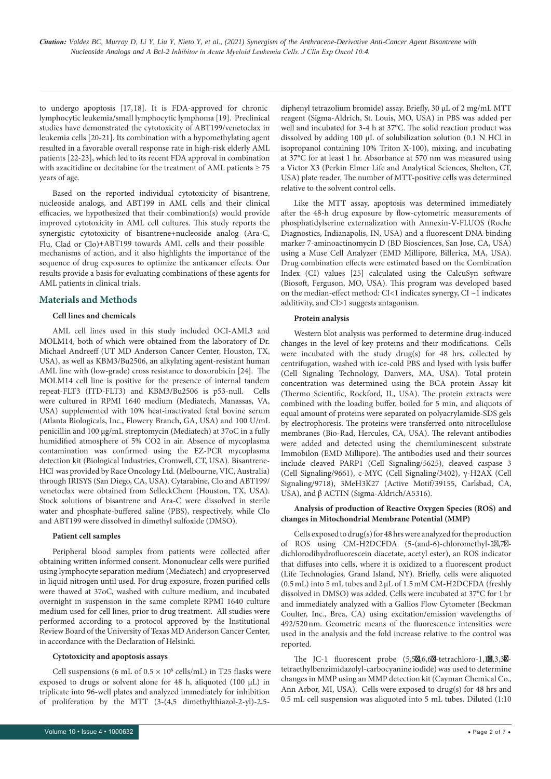lymphocytic leukemia/small lymphocytic lymphoma [19]. Preclinical studies have demonstrated the cytotoxicity of ABT199/venetoclax in leukemia cells [20-21]. Its combination with a hypomethylating agent resulted in a favorable overall response rate in high-risk elderly AML patients [22-23], which led to its recent FDA approval in combination with azacitidine or decitabine for the treatment of AML patients  $\geq 75$ years of age. to undergo apoptosis [17,18]. It is FDA-approved for chronic

Based on the reported individual cytotoxicity of bisantrene, nucleoside analogs, and ABT199 in AML cells and their clinical efficacies, we hypothesized that their combination(s) would provide improved cytotoxicity in AML cell cultures. This study reports the synergistic cytotoxicity of bisantrene+nucleoside analog (Ara-C, mechanisms of action, and it also highlights the importance of the sequence of drug exposures to optimize the anticancer effects. Our results provide a basis for evaluating combinations of these agents for AML patients in clinical trials. Flu, Clad or Clo)+ABT199 towards AML cells and their possible

# **Materials and Methods**

#### **Cell lines and chemicals**

AML cell lines used in this study included OCI-AML3 and MOLM14, both of which were obtained from the laboratory of Dr. Michael Andreeff (UT MD Anderson Cancer Center, Houston, TX, USA), as well as KBM3/Bu2506, an alkylating agent-resistant human AML line with (low-grade) cross resistance to doxorubicin [24]. The MOLM14 cell line is positive for the presence of internal tandem repeat-FLT3 (ITD-FLT3) and KBM3/Bu2506 is p53-null. Cells were cultured in RPMI 1640 medium (Mediatech, Manassas, VA, USA) supplemented with 10% heat-inactivated fetal bovine serum (Atlanta Biologicals, Inc., Flowery Branch, GA, USA) and 100 U/mL penicillin and 100 μg/mL streptomycin (Mediatech) at 37oC in a fully humidified atmosphere of 5% CO2 in air. Absence of mycoplasma contamination was confirmed using the EZ-PCR mycoplasma detection kit (Biological Industries, Cromwell, CT, USA). Bisantrene-HCl was provided by Race Oncology Ltd. (Melbourne, VIC, Australia) through IRISYS (San Diego, CA, USA). Cytarabine, Clo and ABT199/ venetoclax were obtained from SelleckChem (Houston, TX, USA). Stock solutions of bisantrene and Ara-C were dissolved in sterile water and phosphate-buffered saline (PBS), respectively, while Clo and ABT199 were dissolved in dimethyl sulfoxide (DMSO).

#### **Patient cell samples**

Peripheral blood samples from patients were collected after obtaining written informed consent. Mononuclear cells were purified using lymphocyte separation medium (Mediatech) and cryopreserved in liquid nitrogen until used. For drug exposure, frozen purified cells were thawed at 37oC, washed with culture medium, and incubated overnight in suspension in the same complete RPMI 1640 culture medium used for cell lines, prior to drug treatment. All studies were performed according to a protocol approved by the Institutional Review Board of the University of Texas MD Anderson Cancer Center, in accordance with the Declaration of Helsinki.

#### **Cytotoxicity and apoptosis assays**

exposed to drugs or solvent alone for 48 h, aliquoted (100 μL) in triplicate into 96-well plates and analyzed immediately for inhibition of proliferation by the MTT (3-(4,5 dimethylthiazol-2-yl)-2,5- Cell suspensions (6 mL of  $0.5 \times 10^6$  cells/mL) in T25 flasks were

diphenyl tetrazolium bromide) assay. Briefly, 30 μL of 2 mg/mL MTT reagent (Sigma-Aldrich, St. Louis, MO, USA) in PBS was added per well and incubated for 3-4 h at 37°C. The solid reaction product was dissolved by adding 100 μL of solubilization solution (0.1 N HCl in isopropanol containing 10% Triton X-100), mixing, and incubating at 37°C for at least 1 hr. Absorbance at 570 nm was measured using a Victor X3 (Perkin Elmer Life and Analytical Sciences, Shelton, CT, USA) plate reader. The number of MTT-positive cells was determined relative to the solvent control cells.

Like the MTT assay, apoptosis was determined immediately after the 48-h drug exposure by flow-cytometric measurements of phosphatidylserine externalization with Annexin-V-FLUOS (Roche Diagnostics, Indianapolis, IN, USA) and a fluorescent DNA-binding marker 7-aminoactinomycin D (BD Biosciences, San Jose, CA, USA) using a Muse Cell Analyzer (EMD Millipore, Billerica, MA, USA). Drug combination effects were estimated based on the Combination Index (CI) values [25] calculated using the CalcuSyn software (Biosoft, Ferguson, MO, USA). This program was developed based on the median-effect method: CI<1 indicates synergy, CI ~1 indicates additivity, and CI>1 suggests antagonism.

#### **Protein analysis**

Western blot analysis was performed to determine drug-induced changes in the level of key proteins and their modifications. Cells were incubated with the study drug(s) for 48 hrs, collected by centrifugation, washed with ice-cold PBS and lysed with lysis buffer (Cell Signaling Technology, Danvers, MA, USA). Total protein concentration was determined using the BCA protein Assay kit (Thermo Scientific, Rockford, IL, USA). The protein extracts were combined with the loading buffer, boiled for 5 min, and aliquots of equal amount of proteins were separated on polyacrylamide-SDS gels by electrophoresis. The proteins were transferred onto nitrocellulose membranes (Bio-Rad, Hercules, CA, USA). The relevant antibodies were added and detected using the chemiluminescent substrate Immobilon (EMD Millipore). The antibodies used and their sources include cleaved PARP1 (Cell Signaling/5625), cleaved caspase 3 (Cell Signaling/9661), c-MYC (Cell Signaling/3402), γ-H2AX (Cell Signaling/9718), 3MeH3K27 (Active Motif/39155, Carlsbad, CA, USA), and β ACTIN (Sigma-Aldrich/A5316).

### **Analysis of production of Reactive Oxygen Species (ROS) and changes in Mitochondrial Membrane Potential (MMP)**

Cells exposed to drug(s) for 48hrs were analyzed for the production of ROS using CM-H2DCFDA (5-(and-6)-chloromethyl-2 $, 7$  dichlorodihydrofluorescein diacetate, acetyl ester), an ROS indicator that diffuses into cells, where it is oxidized to a fluorescent product (Life Technologies, Grand Island, NY). Briefly, cells were aliquoted (0.5mL) into 5 mL tubes and 2μL of 1.5mM CM-H2DCFDA (freshly dissolved in DMSO) was added. Cells were incubated at 37°C for 1hr and immediately analyzed with a Gallios Flow Cytometer (Beckman Coulter, Inc., Brea, CA) using excitation/emission wavelengths of 492/520nm. Geometric means of the fluorescence intensities were used in the analysis and the fold increase relative to the control was reported.

The JC-1 fluorescent probe (5,5<sub>0</sub>,6,6<sup>0</sup>-tetrachloro-1,10,3,3<sup>0</sup>tetraethylbenzimidazolyl-carbocyanine iodide) was used to determine changes in MMP using an MMP detection kit (Cayman Chemical Co., Ann Arbor, MI, USA). Cells were exposed to drug(s) for 48 hrs and 0.5 mL cell suspension was aliquoted into 5 mL tubes. Diluted (1:10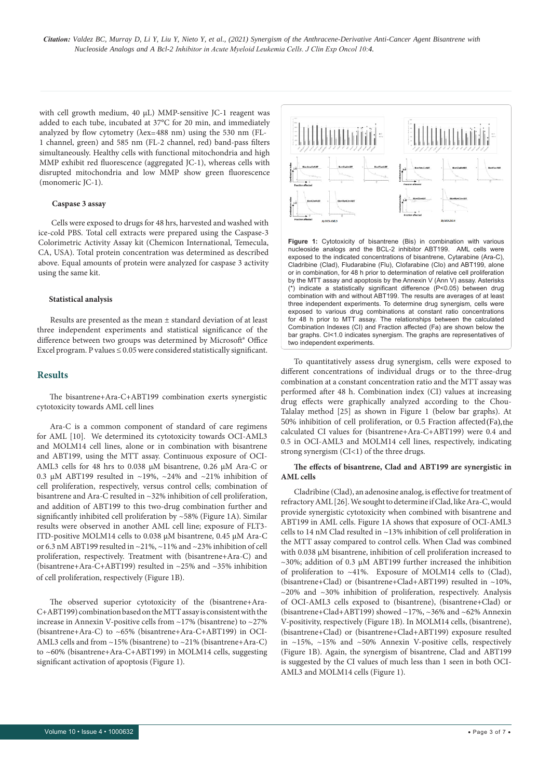*Citation: Valdez BC, Murray D, Li Y, Liu Y, Nieto Y, et al., (2021) Synergism of the Anthracene-Derivative Anti-Cancer Agent Bisantrene with Inhibitor in Acute Myeloid Leukemia Cells. J Clin Exp Oncol 10:4. Nucleoside Analogs and A Bcl-2* 

with cell growth medium, 40 µL) MMP-sensitive JC-1 reagent was added to each tube, incubated at 37°C for 20 min, and immediately analyzed by flow cytometry (λex=488 nm) using the 530 nm (FL-1 channel, green) and 585 nm (FL-2 channel, red) band-pass filters simultaneously. Healthy cells with functional mitochondria and high MMP exhibit red fluorescence (aggregated JC-1), whereas cells with disrupted mitochondria and low MMP show green fluorescence (monomeric JC-1).

#### **Caspase 3 assay**

Cells were exposed to drugs for 48 hrs, harvested and washed with ice-cold PBS. Total cell extracts were prepared using the Caspase-3 Colorimetric Activity Assay kit (Chemicon International, Temecula, CA, USA). Total protein concentration was determined as described above. Equal amounts of protein were analyzed for caspase 3 activity using the same kit.

#### **Statistical analysis**

Results are presented as the mean ± standard deviation of at least three independent experiments and statistical significance of the difference between two groups was determined by Microsoft® Office Excel program. P values  $\leq 0.05$  were considered statistically significant.

### **Results**

The bisantrene+Ara-C+ABT199 combination exerts synergistic cytotoxicity towards AML cell lines

Ara-C is a common component of standard of care regimens for AML [10]. We determined its cytotoxicity towards OCI-AML3 and MOLM14 cell lines, alone or in combination with bisantrene and ABT199, using the MTT assay. Continuous exposure of OCI-AML3 cells for 48 hrs to 0.038 µM bisantrene, 0.26 µM Ara-C or 0.3 µM ABT199 resulted in ~19%, ~24% and ~21% inhibition of cell proliferation, respectively, versus control cells; combination of bisantrene and Ara-C resulted in ~32% inhibition of cell proliferation, and addition of ABT199 to this two-drug combination further and significantly inhibited cell proliferation by ~58% (Figure 1A). Similar results were observed in another AML cell line; exposure of FLT3- ITD-positive MOLM14 cells to 0.038 µM bisantrene, 0.45 µM Ara-C or 6.3 nM ABT199 resulted in ~21%, ~11% and ~23% inhibition of cell proliferation, respectively. Treatment with (bisantrene+Ara-C) and (bisantrene+Ara-C+ABT199) resulted in ~25% and ~35% inhibition of cell proliferation, respectively (Figure 1B).

The observed superior cytotoxicity of the (bisantrene+Ara-C+ABT199) combination based on the MTT assay is consistent with the increase in Annexin V-positive cells from ~17% (bisantrene) to ~27% (bisantrene+Ara-C) to ~65% (bisantrene+Ara-C+ABT199) in OCI-AML3 cells and from ~15% (bisantrene) to ~21% (bisantrene+Ara-C) to ~60% (bisantrene+Ara-C+ABT199) in MOLM14 cells, suggesting significant activation of apoptosis (Figure 1).



**Figure 1:** Cytotoxicity of bisantrene (Bis) in combination with various nucleoside analogs and the BCL-2 inhibitor ABT199. AML cells were exposed to the indicated concentrations of bisantrene, Cytarabine (Ara-C), Cladribine (Clad), Fludarabine (Flu), Clofarabine (Clo) and ABT199, alone or in combination, for 48 h prior to determination of relative cell proliferation by the MTT assay and apoptosis by the Annexin V (Ann V) assay. Asterisks (\*) indicate a statistically significant difference (P<0.05) between drug combination with and without ABT199. The results are averages of at least three independent experiments. To determine drug synergism, cells were exposed to various drug combinations at constant ratio concentrations for 48 h prior to MTT assay. The relationships between the calculated Combination Indexes (CI) and Fraction affected (Fa) are shown below the bar graphs. CI<1.0 indicates synergism. The graphs are representatives of two independent experiments.

To quantitatively assess drug synergism, cells were exposed to different concentrations of individual drugs or to the three-drug combination at a constant concentration ratio and the MTT assay was performed after 48 h. Combination index (CI) values at increasing drug effects were graphically analyzed according to the Chou-Talalay method [25] as shown in Figure 1 (below bar graphs). At calculated CI values for (bisantrene+Ara-C+ABT199) were 0.4 and 0.5 in OCI-AML3 and MOLM14 cell lines, respectively, indicating strong synergism (CI<1) of the three drugs. 50% inhibition of cell proliferation, or 0.5 Fraction a ffected Fa), the

### **The effects of bisantrene, Clad and ABT199 are synergistic in AML cells**

Cladribine (Clad), an adenosine analog, is effective for treatment of refractory AML [26]. We sought to determine if Clad, like Ara-C, would provide synergistic cytotoxicity when combined with bisantrene and ABT199 in AML cells. Figure 1A shows that exposure of OCI-AML3 cells to 14 nM Clad resulted in ~13% inhibition of cell proliferation in the MTT assay compared to control cells. When Clad was combined with 0.038 µM bisantrene, inhibition of cell proliferation increased to  $\sim$ 30%; addition of 0.3 µM ABT199 further increased the inhibition of proliferation to ~41%. Exposure of MOLM14 cells to (Clad), (bisantrene+Clad) or (bisantrene+Clad+ABT199) resulted in ~10%,  $\sim$ 20% and  $\sim$ 30% inhibition of proliferation, respectively. Analysis of OCI-AML3 cells exposed to (bisantrene), (bisantrene+Clad) or (bisantrene+Clad+ABT199) showed ~17%, ~36% and ~62% Annexin V-positivity, respectively (Figure 1B). In MOLM14 cells, (bisantrene), (bisantrene+Clad) or (bisantrene+Clad+ABT199) exposure resulted in ~15%, ~15% and ~50% Annexin V-positive cells, respectively (Figure 1B). Again, the synergism of bisantrene, Clad and ABT199 is suggested by the CI values of much less than 1 seen in both OCI-AML3 and MOLM14 cells (Figure 1).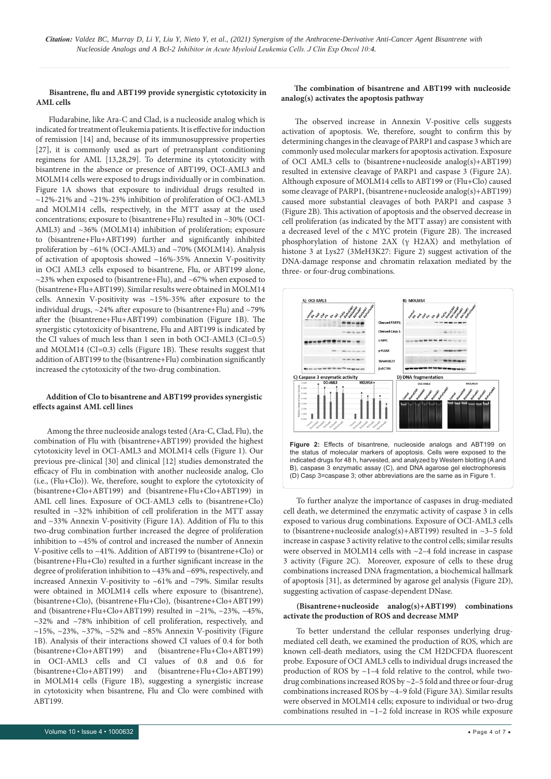### **b** Bisantrene, flu and ABT199 provide synergistic cytotoxicity in analog(s) activates the apoptosis pathway **AML cells**

Fludarabine, like Ara-C and Clad, is a nucleoside analog which is indicated for treatment of leukemia patients. It is effective for induction of remission [14] and, because of its immunosuppressive properties [27], it is commonly used as part of pretransplant conditioning regimens for AML [13,28,29]. To determine its cytotoxicity with bisantrene in the absence or presence of ABT199, OCI-AML3 and MOLM14 cells were exposed to drugs individually or in combination. Figure 1A shows that exposure to individual drugs resulted in ~12%-21% and ~21%-23% inhibition of proliferation of OCI-AML3 and MOLM14 cells, respectively, in the MTT assay at the used concentrations; exposure to (bisantrene+Flu) resulted in ~30% (OCI-AML3) and ~36% (MOLM14) inhibition of proliferation; exposure to (bisantrene+Flu+ABT199) further and significantly inhibited proliferation by ~61% (OCI-AML3) and ~70% (MOLM14). Analysis of activation of apoptosis showed ~16%-35% Annexin V-positivity in OCI AML3 cells exposed to bisantrene, Flu, or ABT199 alone,  $\sim$ 23% when exposed to (bisantrene+Flu), and  $\sim$ 67% when exposed to (bisantrene+Flu+ABT199). Similar results were obtained in MOLM14 cells. Annexin V-positivity was ~15%-35% after exposure to the individual drugs, ~24% after exposure to (bisantrene+Flu) and ~79% after the (bisantrene+Flu+ABT199) combination (Figure 1B). The synergistic cytotoxicity of bisantrene, Flu and ABT199 is indicated by the CI values of much less than 1 seen in both OCI-AML3 (CI=0.5) and MOLM14 (CI=0.3) cells (Figure 1B). These results suggest that addition of ABT199 to the (bisantrene+Flu) combination significantly increased the cytotoxicity of the two-drug combination.

# **Addition of Clo to bisantrene and ABT199 provides synergistic effects against AML cell lines**

Among the three nucleoside analogs tested (Ara-C, Clad, Flu), the combination of Flu with (bisantrene+ABT199) provided the highest cytotoxicity level in OCI-AML3 and MOLM14 cells (Figure 1). Our previous pre-clinical [30] and clinical [12] studies demonstrated the efficacy of Flu in combination with another nucleoside analog, Clo (i.e., (Flu+Clo)). We, therefore, sought to explore the cytotoxicity of (bisantrene+Clo+ABT199) and (bisantrene+Flu+Clo+ABT199) in AML cell lines. Exposure of OCI-AML3 cells to (bisantrene+Clo) resulted in ~32% inhibition of cell proliferation in the MTT assay and ~33% Annexin V-positivity (Figure 1A). Addition of Flu to this two-drug combination further increased the degree of proliferation inhibition to ~45% of control and increased the number of Annexin V-positive cells to ~41%. Addition of ABT199 to (bisantrene+Clo) or (bisantrene+Flu+Clo) resulted in a further significant increase in the degree of proliferation inhibition to ~43% and ~69%, respectively, and increased Annexin V-positivity to ~61% and ~79%. Similar results were obtained in MOLM14 cells where exposure to (bisantrene), (bisantrene+Clo), (bisantrene+Flu+Clo), (bisantrene+Clo+ABT199) and (bisantrene+Flu+Clo+ABT199) resulted in ~21%, ~23%, ~45%, ~32% and ~78% inhibition of cell proliferation, respectively, and  $\sim$ 15%,  $\sim$ 23%,  $\sim$ 37%,  $\sim$ 52% and  $\sim$ 85% Annexin V-positivity (Figure 1B). Analysis of their interactions showed CI values of 0.4 for both (bisantrene+Clo+ABT199) and (bisantrene+Flu+Clo+ABT199) in OCI-AML3 cells and CI values of 0.8 and 0.6 for (bisantrene+Clo+ABT199) and (bisantrene+Flu+Clo+ABT199) in MOLM14 cells (Figure 1B), suggesting a synergistic increase in cytotoxicity when bisantrene, Flu and Clo were combined with ABT199.

The observed increase in Annexin V-positive cells suggests activation of apoptosis. We, therefore, sought to confirm this by determining changes in the cleavage of PARP1 and caspase 3 which are commonly used molecular markers for apoptosis activation. Exposure of OCI AML3 cells to (bisantrene+nucleoside analog(s)+ABT199) resulted in extensive cleavage of PARP1 and caspase 3 (Figure 2A). Although exposure of MOLM14 cells to ABT199 or (Flu+Clo) caused some cleavage of PARP1, (bisantrene+nucleoside analog(s)+ABT199) caused more substantial cleavages of both PARP1 and caspase 3 (Figure 2B). This activation of apoptosis and the observed decrease in cell proliferation (as indicated by the MTT assay) are consistent with a decreased level of the c MYC protein (Figure 2B). The increased phosphorylation of histone 2AX (γ H2AX) and methylation of histone 3 at Lys27 (3MeH3K27: Figure 2) suggest activation of the DNA-damage response and chromatin relaxation mediated by the three- or four-drug combinations.



**Figure 2:** Effects of bisantrene, nucleoside analogs and ABT199 on the status of molecular markers of apoptosis. Cells were exposed to the indicated drugs for 48 h, harvested, and analyzed by Western blotting (A and B), caspase 3 enzymatic assay (C), and DNA agarose gel electrophoresis  $(D)$  Casp 3=caspase 3; other abbreviations are the same as in Figure 1.

To further analyze the importance of caspases in drug-mediated cell death, we determined the enzymatic activity of caspase 3 in cells exposed to various drug combinations. Exposure of OCI-AML3 cells to (bisantrene+nucleoside analog(s)+ABT199) resulted in ~3–5 fold increase in caspase 3 activity relative to the control cells; similar results were observed in MOLM14 cells with ~2–4 fold increase in caspase 3 activity (Figure 2C). Moreover, exposure of cells to these drug combinations increased DNA fragmentation, a biochemical hallmark of apoptosis [31], as determined by agarose gel analysis (Figure 2D), suggesting activation of caspase-dependent DNase.

### **(Bisantrene+nucleoside analog(s)+ABT199) combinations activate the production of ROS and decrease MMP**

To better understand the cellular responses underlying drugmediated cell death, we examined the production of ROS, which are known cell-death mediators, using the CM H2DCFDA fluorescent probe. Exposure of OCI AML3 cells to individual drugs increased the production of ROS by ~1–4 fold relative to the control, while twodrug combinations increased ROS by ~2–5 fold and three or four-drug combinations increased ROS by ~4–9 fold (Figure 3A). Similar results were observed in MOLM14 cells; exposure to individual or two-drug combinations resulted in ~1–2 fold increase in ROS while exposure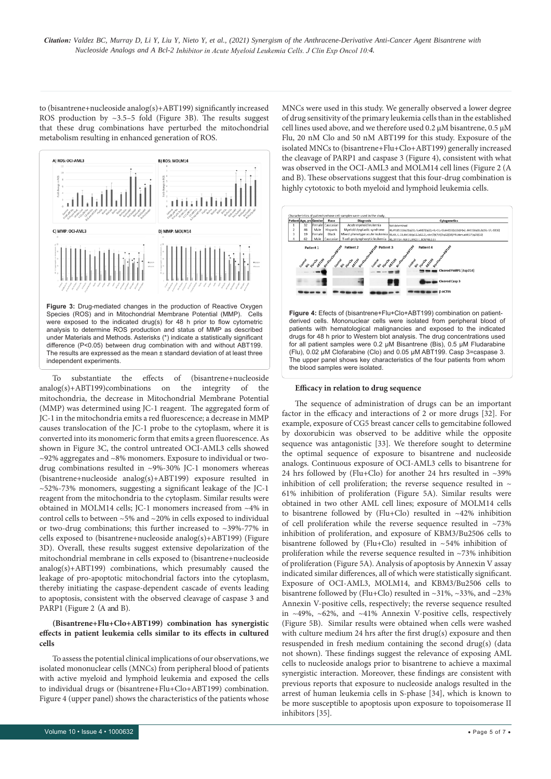to (bisantrene+nucleoside analog(s)+ABT199) significantly increased ROS production by  $\sim$ 3.5–5 fold (Figure 3B). The results suggest that these drug combinations have perturbed the mitochondrial metabolism resulting in enhanced generation of ROS.



To substantiate the effects of (bisantrene+nucleoside analog(s)+ABT199)combinations on the integrity of the mitochondria, the decrease in Mitochondrial Membrane Potential (MMP) was determined using JC-1 reagent. The aggregated form of JC-1 in the mitochondria emits a red fluorescence; a decrease in MMP causes translocation of the JC-1 probe to the cytoplasm, where it is converted into its monomeric form that emits a green fluorescence. As shown in Figure 3C, the control untreated OCI-AML3 cells showed ~92% aggregates and ~8% monomers. Exposure to individual or twodrug combinations resulted in ~9%-30% JC-1 monomers whereas (bisantrene+nucleoside analog(s)+ABT199) exposure resulted in ~52%-73% monomers, suggesting a significant leakage of the JC-1 reagent from the mitochondria to the cytoplasm. Similar results were obtained in MOLM14 cells; JC-1 monomers increased from ~4% in control cells to between ~5% and ~20% in cells exposed to individual or two-drug combinations; this further increased to ~39%-77% in cells exposed to (bisantrene+nucleoside analog(s)+ABT199) (Figure 3D). Overall, these results suggest extensive depolarization of the mitochondrial membrane in cells exposed to (bisantrene+nucleoside analog(s)+ABT199) combinations, which presumably caused the leakage of pro-apoptotic mitochondrial factors into the cytoplasm, thereby initiating the caspase-dependent cascade of events leading to apoptosis, consistent with the observed cleavage of caspase 3 and PARP1 (Figure 2 (A and B).

# **(Bisantrene+Flu+Clo+ABT199) combination has synergistic effects in patient leukemia cells similar to its effects in cultured cells**

To assess the potential clinical implications of our observations, we isolated mononuclear cells (MNCs) from peripheral blood of patients with active myeloid and lymphoid leukemia and exposed the cells to individual drugs or (bisantrene+Flu+Clo+ABT199) combination. Figure 4 (upper panel) shows the characteristics of the patients whose

MNCs were used in this study. We generally observed a lower degree of drug sensitivity of the primary leukemia cells than in the established cell lines used above, and we therefore used 0.2 µM bisantrene, 0.5 µM Flu, 20 nM Clo and 50 nM ABT199 for this study. Exposure of the isolated MNCs to (bisantrene+Flu+Clo+ABT199) generally increased the cleavage of PARP1 and caspase 3 (Figure 4), consistent with what was observed in the OCI-AML3 and MOLM14 cell lines (Figure 2 (A and B). These observations suggest that this four-drug combination is highly cytotoxic to both myeloid and lymphoid leukemia cells.



### **Efficacy in relation to drug sequence**

The sequence of administration of drugs can be an important factor in the efficacy and interactions of 2 or more drugs [32]. For example, exposure of CG5 breast cancer cells to gemcitabine followed by doxorubicin was observed to be additive while the opposite sequence was antagonistic [33]. We therefore sought to determine the optimal sequence of exposure to bisantrene and nucleoside analogs. Continuous exposure of OCI-AML3 cells to bisantrene for 24 hrs followed by (Flu+Clo) for another 24 hrs resulted in  $~\sim$ 39% inhibition of cell proliferation; the reverse sequence resulted in  $\sim$ 61% inhibition of proliferation (Figure 5A). Similar results were obtained in two other AML cell lines; exposure of MOLM14 cells to bisantrene followed by (Flu+Clo) resulted in  $~12\%$  inhibition of cell proliferation while the reverse sequence resulted in ~73% inhibition of proliferation, and exposure of KBM3/Bu2506 cells to proliferation while the reverse sequence resulted in ~73% inhibition of proliferation (Figure 5A). Analysis of apoptosis by Annexin V assay indicated similar differences, all of which were statistically significant. Exposure of OCI-AML3, MOLM14, and KBM3/Bu2506 cells to bisantrene followed by (Flu+Clo) resulted in  $\sim$ 31%,  $\sim$ 33%, and  $\sim$ 23% Annexin V-positive cells, respectively; the reverse sequence resulted in ~49%, ~62%, and ~41% Annexin V-positive cells, respectively (Figure 5B). Similar results were obtained when cells were washed with culture medium 24 hrs after the first drug(s) exposure and then resuspended in fresh medium containing the second drug(s) (data not shown). These findings suggest the relevance of exposing AML cells to nucleoside analogs prior to bisantrene to achieve a maximal synergistic interaction. Moreover, these findings are consistent with previous reports that exposure to nucleoside analogs resulted in the arrest of human leukemia cells in S-phase [34], which is known to be more susceptible to apoptosis upon exposure to topoisomerase II inhibitors [35]. bisantrene followed by (Flu+Clo) resulted in  $~54\%$  inhibition of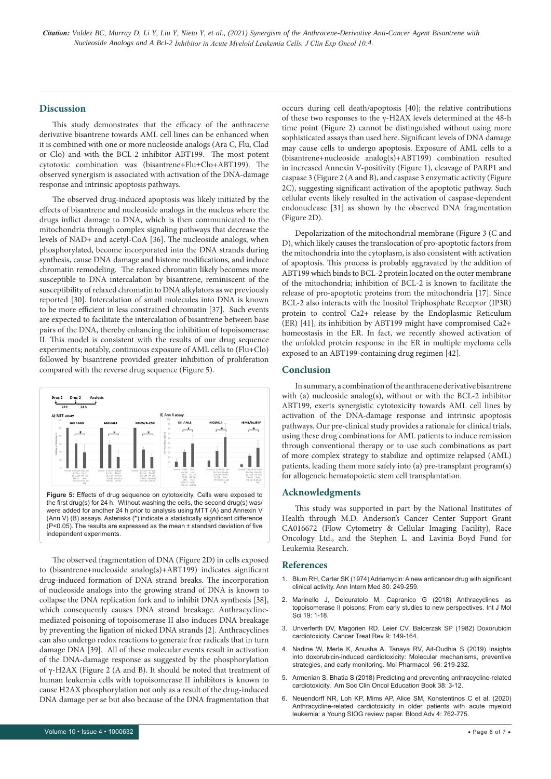#### **Discussion**

This study demonstrates that the efficacy of the anthracene derivative bisantrene towards AML cell lines can be enhanced when it is combined with one or more nucleoside analogs (Ara C, Flu, Clad or Clo) and with the BCL-2 inhibitor ABT199. The most potent cytotoxic combination was (bisantrene+Flu±Clo+ABT199). The observed synergism is associated with activation of the DNA-damage response and intrinsic apoptosis pathways.

The observed drug-induced apoptosis was likely initiated by the effects of bisantrene and nucleoside analogs in the nucleus where the drugs inflict damage to DNA, which is then communicated to the mitochondria through complex signaling pathways that decrease the levels of NAD+ and acetyl-CoA [36]. The nucleoside analogs, when phosphorylated, become incorporated into the DNA strands during synthesis, cause DNA damage and histone modifications, and induce chromatin remodeling. The relaxed chromatin likely becomes more susceptible to DNA intercalation by bisantrene, reminiscent of the susceptibility of relaxed chromatin to DNA alkylators as we previously reported [30]. Intercalation of small molecules into DNA is known to be more efficient in less constrained chromatin [37]. Such events are expected to facilitate the intercalation of bisantrene between base pairs of the DNA, thereby enhancing the inhibition of topoisomerase II. This model is consistent with the results of our drug sequence experiments; notably, continuous exposure of AML cells to (Flu+Clo) followed by bisantrene provided greater inhibition of proliferation compared with the reverse drug sequence (Figure 5).



The observed fragmentation of DNA (Figure 2D) in cells exposed to (bisantrene+nucleoside analog(s)+ABT199) indicates significant drug-induced formation of DNA strand breaks. The incorporation of nucleoside analogs into the growing strand of DNA is known to collapse the DNA replication fork and to inhibit DNA synthesis [38], which consequently causes DNA strand breakage. Anthracyclinemediated poisoning of topoisomerase II also induces DNA breakage by preventing the ligation of nicked DNA strands [2]. Anthracyclines can also undergo redox reactions to generate free radicals that in turn damage DNA [39]. All of these molecular events result in activation of the DNA-damage response as suggested by the phosphorylation human leukemia cells with topoisomerase II inhibitors is known to cause H2AX phosphorylation not only as a result of the drug-induced DNA damage per se but also because of the DNA fragmentation that of γ-H2AX (Figure 2 (A and B). It should be noted that treatment of occurs during cell death/apoptosis [40]; the relative contributions of these two responses to the γ-H2AX levels determined at the 48-h time point (Figure 2) cannot be distinguished without using more sophisticated assays than used here. Significant levels of DNA damage may cause cells to undergo apoptosis. Exposure of AML cells to a (bisantrene+nucleoside analog(s)+ABT199) combination resulted in increased Annexin V-positivity (Figure 1), cleavage of PARP1 and caspase 3 (Figure 2 (A and B), and caspase 3 enzymatic activity (Figure 2C), suggesting significant activation of the apoptotic pathway. Such cellular events likely resulted in the activation of caspase-dependent endonuclease [31] as shown by the observed DNA fragmentation (Figure 2D).

Depolarization of the mitochondrial membrane (Figure 3 (C and D), which likely causes the translocation of pro-apoptotic factors from the mitochondria into the cytoplasm, is also consistent with activation of apoptosis. This process is probably aggravated by the addition of ABT199 which binds to BCL-2 protein located on the outer membrane of the mitochondria; inhibition of BCL-2 is known to facilitate the release of pro-apoptotic proteins from the mitochondria [17]. Since BCL-2 also interacts with the Inositol Triphosphate Receptor (IP3R) protein to control Ca2+ release by the Endoplasmic Reticulum (ER) [41], its inhibition by ABT199 might have compromised Ca2+ homeostasis in the ER. In fact, we recently showed activation of the unfolded protein response in the ER in multiple myeloma cells exposed to an ABT199-containing drug regimen [42].

#### **Conclusion**

In summary, a combination of the anthracene derivative bisantrene with (a) nucleoside analog(s), without or with the BCL-2 inhibitor ABT199, exerts synergistic cytotoxicity towards AML cell lines by activation of the DNA-damage response and intrinsic apoptosis pathways. Our pre-clinical study provides a rationale for clinical trials, using these drug combinations for AML patients to induce remission through conventional therapy or to use such combinations as part of more complex strategy to stabilize and optimize relapsed (AML) patients, leading them more safely into (a) pre-transplant program(s) for allogeneic hematopoietic stem cell transplantation.

#### **Acknowledgments**

This study was supported in part by the National Institutes of Health through M.D. Anderson's Cancer Center Support Grant CA016672 (Flow Cytometry & Cellular Imaging Facility), Race Oncology Ltd., and the Stephen L. and Lavinia Boyd Fund for Leukemia Research.

### **References**

- 1. Blum RH, Carter SK (1974) Adriamycin: A new anticancer drug with significant clinical activity. Ann Intern Med 80: 249-259.
- 2. Marinello J, Delcuratolo M, Capranico G (2018) Anthracyclines as topoisomerase II poisons: From early studies to new perspectives. Int J Mol Sci 19: 1-18.
- 3. Unverferth DV, Magorien RD, Leier CV, Balcerzak SP (1982) Doxorubicin cardiotoxicity. Cancer Treat Rev 9: 149-164.
- 4. Nadine W, Merle K, Anusha A, Tanaya RV, Ait-Oudhia S (2019) Insights into doxorubicin-induced cardiotoxicity: Molecular mechanisms, preventive strategies, and early monitoring. Mol Pharmacol 96: 219-232.
- 5. Armenian S, Bhatia S (2018) Predicting and preventing anthracycline-related cardiotoxicity. Am Soc Clin Oncol Education Book 38: 3-12.
- 6. Neuendorff NR, Loh KP, Mims AP, Alice SM, Konstentinos C et al. (2020) Anthracycline-related cardiotoxicity in older patients with acute myeloid leukemia: a Young SIOG review paper. Blood Adv 4: 762-775.